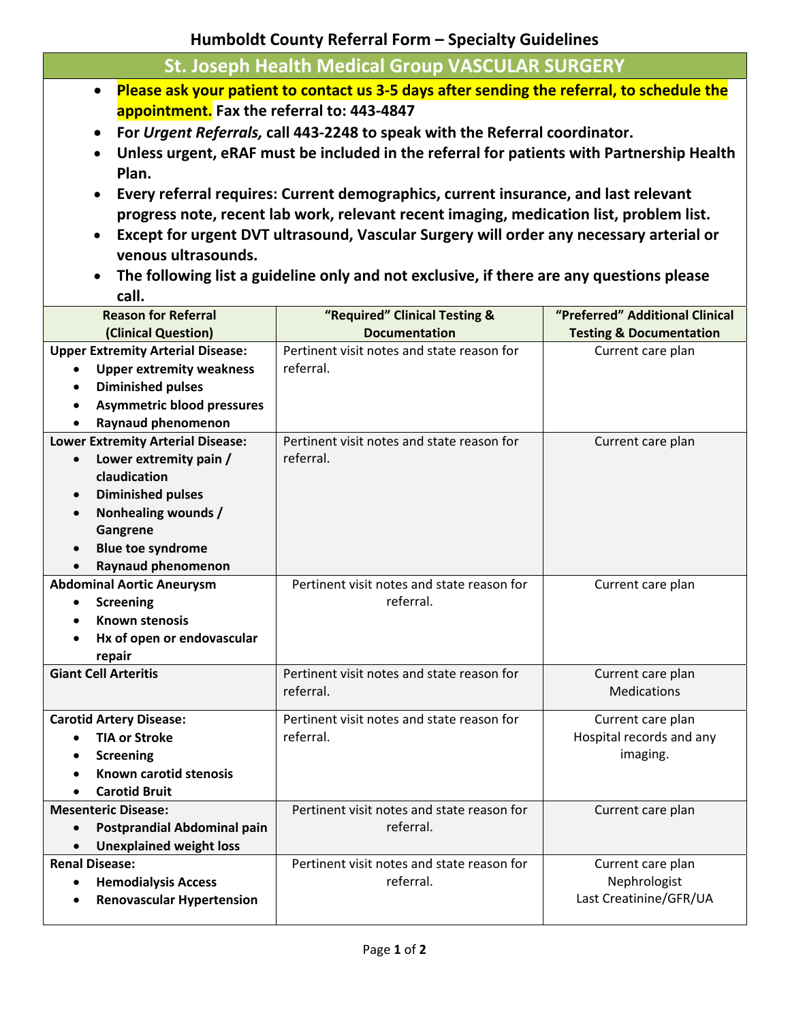**Humboldt County Referral Form – Specialty Guidelines**

| <b>St. Joseph Health Medical Group VASCULAR SURGERY</b>                                                 |                                            |                                    |
|---------------------------------------------------------------------------------------------------------|--------------------------------------------|------------------------------------|
| Please ask your patient to contact us 3-5 days after sending the referral, to schedule the<br>$\bullet$ |                                            |                                    |
| appointment. Fax the referral to: 443-4847                                                              |                                            |                                    |
| For Urgent Referrals, call 443-2248 to speak with the Referral coordinator.<br>$\bullet$                |                                            |                                    |
| Unless urgent, eRAF must be included in the referral for patients with Partnership Health               |                                            |                                    |
| Plan.                                                                                                   |                                            |                                    |
|                                                                                                         |                                            |                                    |
| Every referral requires: Current demographics, current insurance, and last relevant<br>$\bullet$        |                                            |                                    |
| progress note, recent lab work, relevant recent imaging, medication list, problem list.                 |                                            |                                    |
| Except for urgent DVT ultrasound, Vascular Surgery will order any necessary arterial or<br>$\bullet$    |                                            |                                    |
| venous ultrasounds.                                                                                     |                                            |                                    |
| The following list a guideline only and not exclusive, if there are any questions please<br>$\bullet$   |                                            |                                    |
| call.                                                                                                   |                                            |                                    |
| <b>Reason for Referral</b>                                                                              | "Required" Clinical Testing &              | "Preferred" Additional Clinical    |
| (Clinical Question)                                                                                     | <b>Documentation</b>                       | <b>Testing &amp; Documentation</b> |
| <b>Upper Extremity Arterial Disease:</b>                                                                | Pertinent visit notes and state reason for | Current care plan                  |
| <b>Upper extremity weakness</b>                                                                         | referral.                                  |                                    |
| <b>Diminished pulses</b>                                                                                |                                            |                                    |
| <b>Asymmetric blood pressures</b><br>$\bullet$                                                          |                                            |                                    |
| Raynaud phenomenon<br><b>Lower Extremity Arterial Disease:</b>                                          | Pertinent visit notes and state reason for | Current care plan                  |
| Lower extremity pain /<br>$\bullet$                                                                     | referral.                                  |                                    |
| claudication                                                                                            |                                            |                                    |
| <b>Diminished pulses</b>                                                                                |                                            |                                    |
| Nonhealing wounds /<br>$\bullet$                                                                        |                                            |                                    |
| Gangrene                                                                                                |                                            |                                    |
| <b>Blue toe syndrome</b><br>$\bullet$                                                                   |                                            |                                    |
| Raynaud phenomenon                                                                                      |                                            |                                    |
| <b>Abdominal Aortic Aneurysm</b>                                                                        | Pertinent visit notes and state reason for | Current care plan                  |
| <b>Screening</b>                                                                                        | referral.                                  |                                    |
| <b>Known stenosis</b>                                                                                   |                                            |                                    |
| Hx of open or endovascular                                                                              |                                            |                                    |
| repair<br><b>Giant Cell Arteritis</b>                                                                   | Pertinent visit notes and state reason for | Current care plan                  |
|                                                                                                         | referral.                                  | <b>Medications</b>                 |
|                                                                                                         |                                            |                                    |
| <b>Carotid Artery Disease:</b>                                                                          | Pertinent visit notes and state reason for | Current care plan                  |
| <b>TIA or Stroke</b>                                                                                    | referral.                                  | Hospital records and any           |
| <b>Screening</b>                                                                                        |                                            | imaging.                           |
| Known carotid stenosis                                                                                  |                                            |                                    |
| <b>Carotid Bruit</b><br><b>Mesenteric Disease:</b>                                                      | Pertinent visit notes and state reason for |                                    |
| Postprandial Abdominal pain                                                                             | referral.                                  | Current care plan                  |
| <b>Unexplained weight loss</b>                                                                          |                                            |                                    |
| <b>Renal Disease:</b>                                                                                   | Pertinent visit notes and state reason for | Current care plan                  |
| <b>Hemodialysis Access</b>                                                                              | referral.                                  | Nephrologist                       |
| <b>Renovascular Hypertension</b>                                                                        |                                            | Last Creatinine/GFR/UA             |
|                                                                                                         |                                            |                                    |